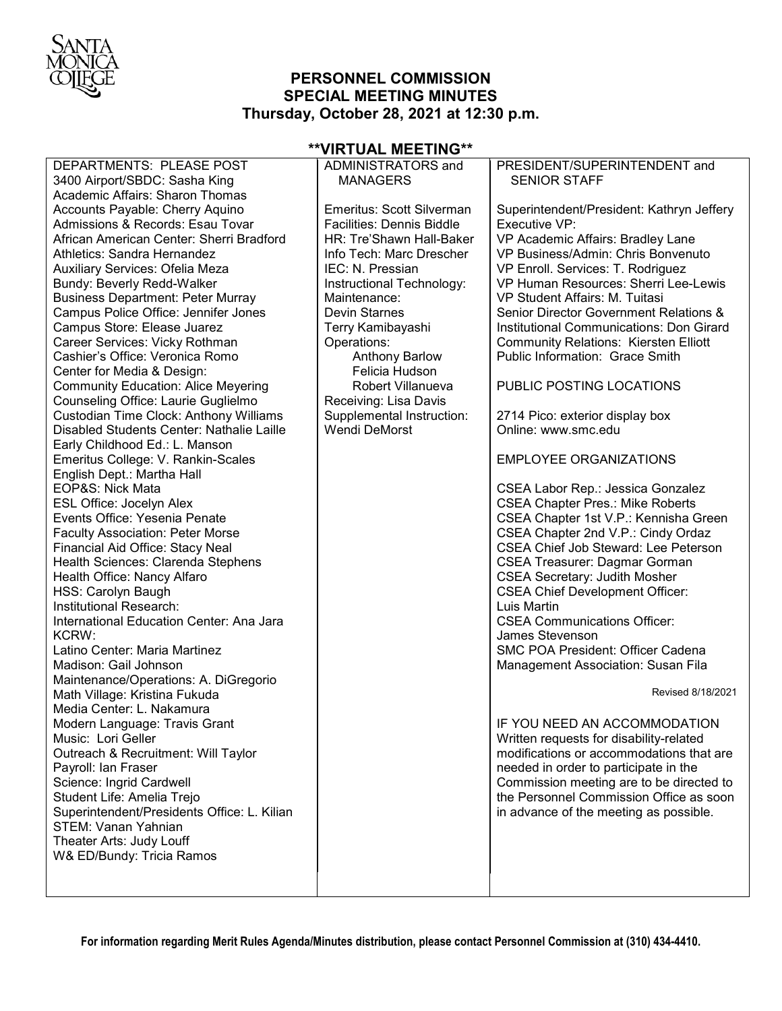

## **PERSONNEL COMMISSION SPECIAL MEETING MINUTES Thursday, October 28, 2021 at 12:30 p.m.**

# **\*\*VIRTUAL MEETING\*\***

| DEPARTMENTS: PLEASE POST                    | ADMINISTRATORS and        | PRESIDENT/SUPERINTENDENT and                 |
|---------------------------------------------|---------------------------|----------------------------------------------|
| 3400 Airport/SBDC: Sasha King               | <b>MANAGERS</b>           | <b>SENIOR STAFF</b>                          |
| Academic Affairs: Sharon Thomas             |                           |                                              |
| Accounts Payable: Cherry Aquino             | Emeritus: Scott Silverman | Superintendent/President: Kathryn Jeffery    |
| Admissions & Records: Esau Tovar            | Facilities: Dennis Biddle | Executive VP:                                |
| African American Center: Sherri Bradford    | HR: Tre'Shawn Hall-Baker  | VP Academic Affairs: Bradley Lane            |
| Athletics: Sandra Hernandez                 | Info Tech: Marc Drescher  | VP Business/Admin: Chris Bonvenuto           |
| Auxiliary Services: Ofelia Meza             | IEC: N. Pressian          | VP Enroll. Services: T. Rodriguez            |
| Bundy: Beverly Redd-Walker                  | Instructional Technology: | VP Human Resources: Sherri Lee-Lewis         |
| <b>Business Department: Peter Murray</b>    | Maintenance:              | VP Student Affairs: M. Tuitasi               |
| Campus Police Office: Jennifer Jones        | <b>Devin Starnes</b>      | Senior Director Government Relations &       |
| Campus Store: Elease Juarez                 | Terry Kamibayashi         | Institutional Communications: Don Girard     |
| Career Services: Vicky Rothman              | Operations:               | <b>Community Relations: Kiersten Elliott</b> |
| Cashier's Office: Veronica Romo             | <b>Anthony Barlow</b>     | Public Information: Grace Smith              |
| Center for Media & Design:                  | Felicia Hudson            |                                              |
| <b>Community Education: Alice Meyering</b>  | Robert Villanueva         | PUBLIC POSTING LOCATIONS                     |
| Counseling Office: Laurie Guglielmo         | Receiving: Lisa Davis     |                                              |
| Custodian Time Clock: Anthony Williams      | Supplemental Instruction: | 2714 Pico: exterior display box              |
| Disabled Students Center: Nathalie Laille   | <b>Wendi DeMorst</b>      | Online: www.smc.edu                          |
| Early Childhood Ed.: L. Manson              |                           |                                              |
| Emeritus College: V. Rankin-Scales          |                           | <b>EMPLOYEE ORGANIZATIONS</b>                |
| English Dept.: Martha Hall                  |                           |                                              |
| EOP&S: Nick Mata                            |                           | CSEA Labor Rep.: Jessica Gonzalez            |
| <b>ESL Office: Jocelyn Alex</b>             |                           | <b>CSEA Chapter Pres.: Mike Roberts</b>      |
| Events Office: Yesenia Penate               |                           | CSEA Chapter 1st V.P.: Kennisha Green        |
| <b>Faculty Association: Peter Morse</b>     |                           | CSEA Chapter 2nd V.P.: Cindy Ordaz           |
| Financial Aid Office: Stacy Neal            |                           | <b>CSEA Chief Job Steward: Lee Peterson</b>  |
| Health Sciences: Clarenda Stephens          |                           | <b>CSEA Treasurer: Dagmar Gorman</b>         |
| Health Office: Nancy Alfaro                 |                           | <b>CSEA Secretary: Judith Mosher</b>         |
| HSS: Carolyn Baugh                          |                           | <b>CSEA Chief Development Officer:</b>       |
| Institutional Research:                     |                           | Luis Martin                                  |
| International Education Center: Ana Jara    |                           | <b>CSEA Communications Officer:</b>          |
| KCRW:                                       |                           | James Stevenson                              |
| Latino Center: Maria Martinez               |                           | SMC POA President: Officer Cadena            |
| Madison: Gail Johnson                       |                           | Management Association: Susan Fila           |
| Maintenance/Operations: A. DiGregorio       |                           |                                              |
| Math Village: Kristina Fukuda               |                           | Revised 8/18/2021                            |
| Media Center: L. Nakamura                   |                           |                                              |
| Modern Language: Travis Grant               |                           | IF YOU NEED AN ACCOMMODATION                 |
| Music: Lori Geller                          |                           | Written requests for disability-related      |
| Outreach & Recruitment: Will Taylor         |                           | modifications or accommodations that are     |
| Payroll: Ian Fraser                         |                           | needed in order to participate in the        |
| Science: Ingrid Cardwell                    |                           | Commission meeting are to be directed to     |
| Student Life: Amelia Trejo                  |                           | the Personnel Commission Office as soon      |
| Superintendent/Presidents Office: L. Kilian |                           | in advance of the meeting as possible.       |
| <b>STEM: Vanan Yahnian</b>                  |                           |                                              |
| Theater Arts: Judy Louff                    |                           |                                              |
| W& ED/Bundy: Tricia Ramos                   |                           |                                              |
|                                             |                           |                                              |
|                                             |                           |                                              |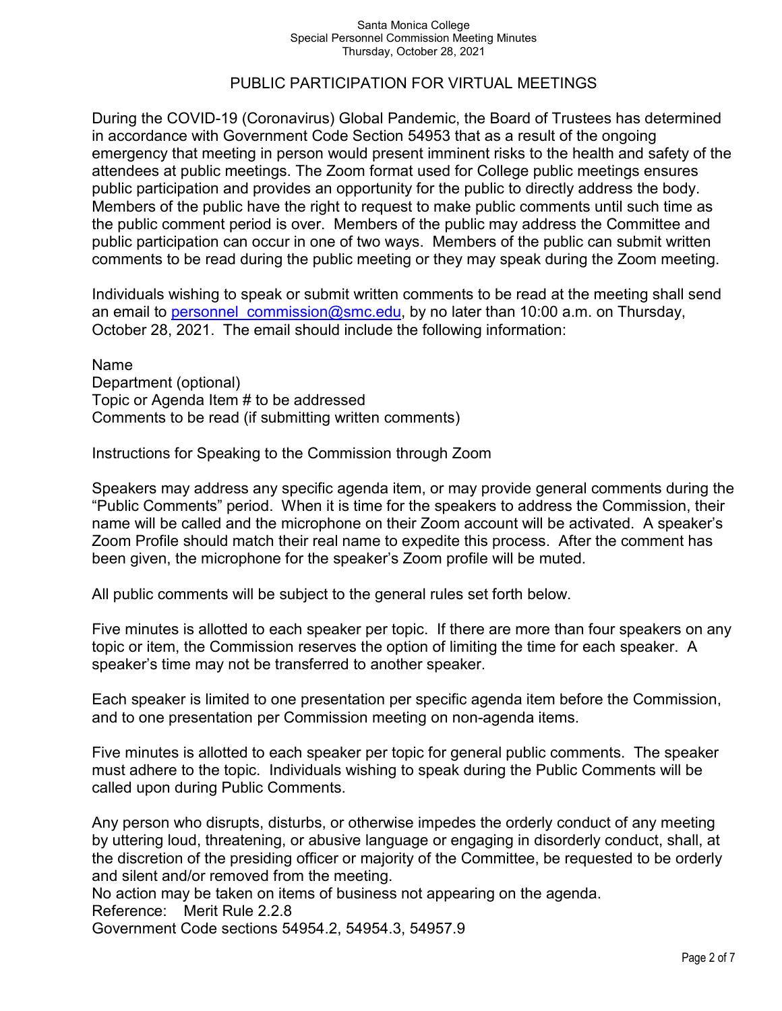#### Santa Monica College Special Personnel Commission Meeting Minutes Thursday, October 28, 2021

## PUBLIC PARTICIPATION FOR VIRTUAL MEETINGS

During the COVID-19 (Coronavirus) Global Pandemic, the Board of Trustees has determined in accordance with Government Code Section 54953 that as a result of the ongoing emergency that meeting in person would present imminent risks to the health and safety of the attendees at public meetings. The Zoom format used for College public meetings ensures public participation and provides an opportunity for the public to directly address the body. Members of the public have the right to request to make public comments until such time as the public comment period is over. Members of the public may address the Committee and public participation can occur in one of two ways. Members of the public can submit written comments to be read during the public meeting or they may speak during the Zoom meeting.

Individuals wishing to speak or submit written comments to be read at the meeting shall send an email to personnel commission@smc.edu, by no later than 10:00 a.m. on Thursday, October 28, 2021. The email should include the following information:

Name Department (optional) Topic or Agenda Item # to be addressed Comments to be read (if submitting written comments)

Instructions for Speaking to the Commission through Zoom

Speakers may address any specific agenda item, or may provide general comments during the "Public Comments" period. When it is time for the speakers to address the Commission, their name will be called and the microphone on their Zoom account will be activated. A speaker's Zoom Profile should match their real name to expedite this process. After the comment has been given, the microphone for the speaker's Zoom profile will be muted.

All public comments will be subject to the general rules set forth below.

Five minutes is allotted to each speaker per topic. If there are more than four speakers on any topic or item, the Commission reserves the option of limiting the time for each speaker. A speaker's time may not be transferred to another speaker.

Each speaker is limited to one presentation per specific agenda item before the Commission, and to one presentation per Commission meeting on non-agenda items.

Five minutes is allotted to each speaker per topic for general public comments. The speaker must adhere to the topic. Individuals wishing to speak during the Public Comments will be called upon during Public Comments.

Any person who disrupts, disturbs, or otherwise impedes the orderly conduct of any meeting by uttering loud, threatening, or abusive language or engaging in disorderly conduct, shall, at the discretion of the presiding officer or majority of the Committee, be requested to be orderly and silent and/or removed from the meeting.

No action may be taken on items of business not appearing on the agenda.

Reference: Merit Rule 2.2.8

Government Code sections 54954.2, 54954.3, 54957.9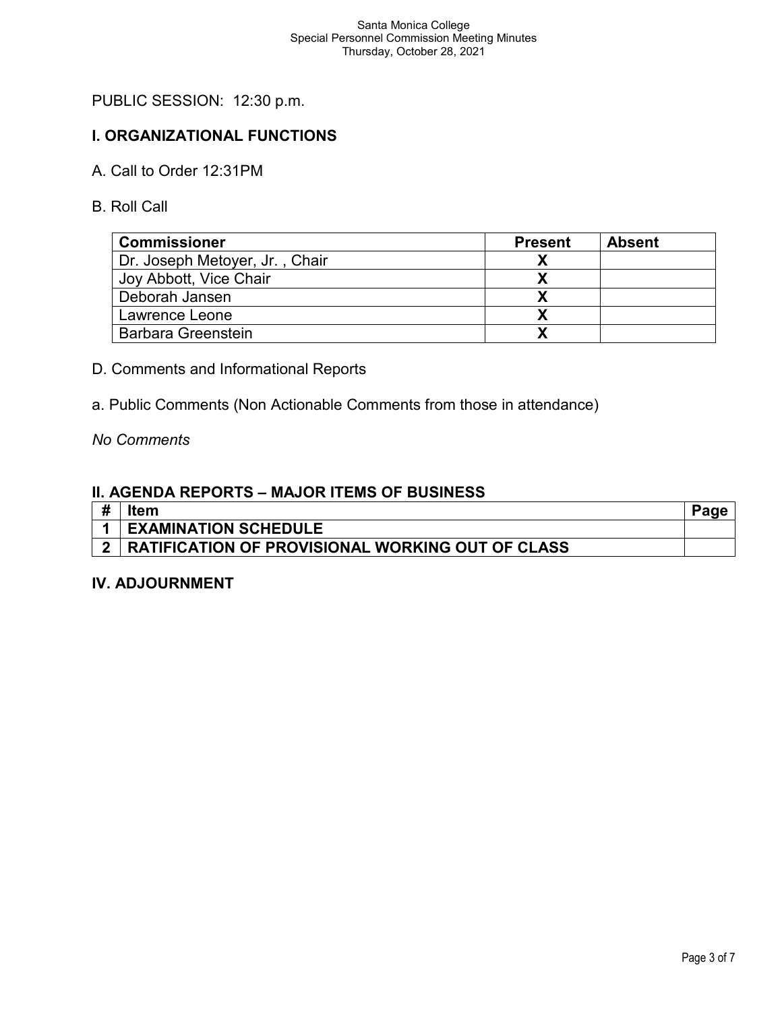# PUBLIC SESSION: 12:30 p.m.

# **I. ORGANIZATIONAL FUNCTIONS**

- A. Call to Order 12:31PM
- B. Roll Call

| <b>Commissioner</b>            | <b>Present</b> | <b>Absent</b> |
|--------------------------------|----------------|---------------|
| Dr. Joseph Metoyer, Jr., Chair |                |               |
| Joy Abbott, Vice Chair         |                |               |
| Deborah Jansen                 |                |               |
| Lawrence Leone                 |                |               |
| <b>Barbara Greenstein</b>      |                |               |

D. Comments and Informational Reports

a. Public Comments (Non Actionable Comments from those in attendance)

## *No Comments*

## **II. AGENDA REPORTS – MAJOR ITEMS OF BUSINESS**

| # | ltem                                                    |  |
|---|---------------------------------------------------------|--|
|   | <b>EXAMINATION SCHEDULE</b>                             |  |
|   | <b>RATIFICATION OF PROVISIONAL WORKING OUT OF CLASS</b> |  |

### **IV. ADJOURNMENT**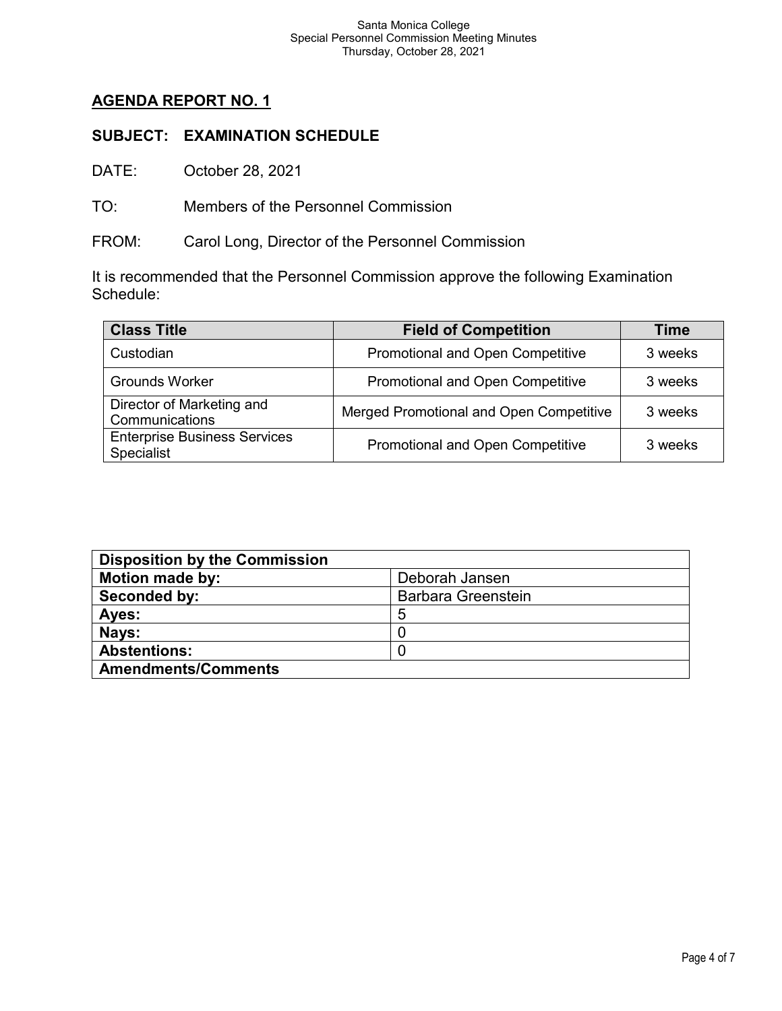#### Santa Monica College Special Personnel Commission Meeting Minutes Thursday, October 28, 2021

# **AGENDA REPORT NO. 1**

## **SUBJECT: EXAMINATION SCHEDULE**

DATE: October 28, 2021

TO: Members of the Personnel Commission

FROM: Carol Long, Director of the Personnel Commission

It is recommended that the Personnel Commission approve the following Examination Schedule:

| <b>Class Title</b>                                | <b>Field of Competition</b>             | Time    |
|---------------------------------------------------|-----------------------------------------|---------|
| Custodian                                         | <b>Promotional and Open Competitive</b> | 3 weeks |
| <b>Grounds Worker</b>                             | <b>Promotional and Open Competitive</b> | 3 weeks |
| Director of Marketing and<br>Communications       | Merged Promotional and Open Competitive | 3 weeks |
| <b>Enterprise Business Services</b><br>Specialist | <b>Promotional and Open Competitive</b> | 3 weeks |

| <b>Disposition by the Commission</b> |                           |  |  |
|--------------------------------------|---------------------------|--|--|
| <b>Motion made by:</b>               | Deborah Jansen            |  |  |
| Seconded by:                         | <b>Barbara Greenstein</b> |  |  |
| Ayes:                                | 5                         |  |  |
| Nays:                                |                           |  |  |
| <b>Abstentions:</b>                  |                           |  |  |
| <b>Amendments/Comments</b>           |                           |  |  |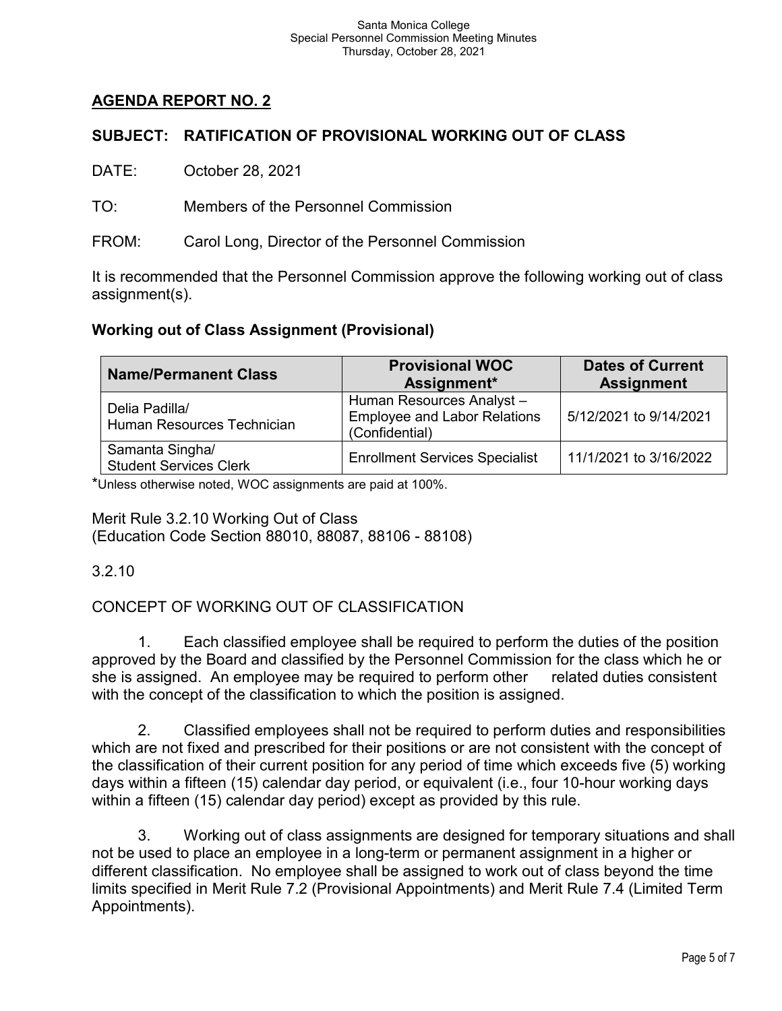# **AGENDA REPORT NO. 2**

# **SUBJECT: RATIFICATION OF PROVISIONAL WORKING OUT OF CLASS**

DATE: October 28, 2021

TO: Members of the Personnel Commission

FROM: Carol Long, Director of the Personnel Commission

It is recommended that the Personnel Commission approve the following working out of class assignment(s).

# **Working out of Class Assignment (Provisional)**

| <b>Name/Permanent Class</b>                      | <b>Provisional WOC</b><br>Assignment*                                             | <b>Dates of Current</b><br><b>Assignment</b> |  |
|--------------------------------------------------|-----------------------------------------------------------------------------------|----------------------------------------------|--|
| Delia Padilla/<br>Human Resources Technician     | Human Resources Analyst-<br><b>Employee and Labor Relations</b><br>(Confidential) | 5/12/2021 to 9/14/2021                       |  |
| Samanta Singha/<br><b>Student Services Clerk</b> | <b>Enrollment Services Specialist</b>                                             | 11/1/2021 to 3/16/2022                       |  |

\*Unless otherwise noted, WOC assignments are paid at 100%.

Merit Rule 3.2.10 Working Out of Class (Education Code Section 88010, 88087, 88106 - 88108)

3.2.10

CONCEPT OF WORKING OUT OF CLASSIFICATION

1. Each classified employee shall be required to perform the duties of the position approved by the Board and classified by the Personnel Commission for the class which he or she is assigned. An employee may be required to perform other related duties consistent with the concept of the classification to which the position is assigned.

2. Classified employees shall not be required to perform duties and responsibilities which are not fixed and prescribed for their positions or are not consistent with the concept of the classification of their current position for any period of time which exceeds five (5) working days within a fifteen (15) calendar day period, or equivalent (i.e., four 10-hour working days within a fifteen (15) calendar day period) except as provided by this rule.

3. Working out of class assignments are designed for temporary situations and shall not be used to place an employee in a long-term or permanent assignment in a higher or different classification. No employee shall be assigned to work out of class beyond the time limits specified in Merit Rule 7.2 (Provisional Appointments) and Merit Rule 7.4 (Limited Term Appointments).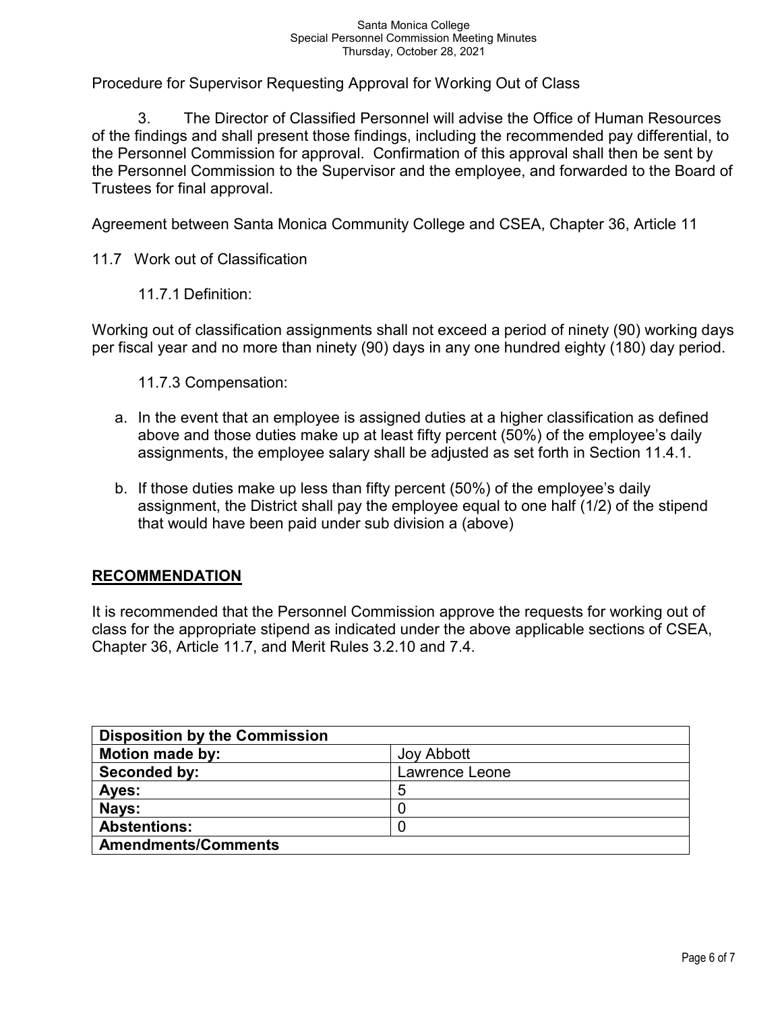#### Santa Monica College Special Personnel Commission Meeting Minutes Thursday, October 28, 2021

Procedure for Supervisor Requesting Approval for Working Out of Class

3. The Director of Classified Personnel will advise the Office of Human Resources of the findings and shall present those findings, including the recommended pay differential, to the Personnel Commission for approval. Confirmation of this approval shall then be sent by the Personnel Commission to the Supervisor and the employee, and forwarded to the Board of Trustees for final approval.

Agreement between Santa Monica Community College and CSEA, Chapter 36, Article 11

11.7 Work out of Classification

11.7.1 Definition:

Working out of classification assignments shall not exceed a period of ninety (90) working days per fiscal year and no more than ninety (90) days in any one hundred eighty (180) day period.

11.7.3 Compensation:

- a. In the event that an employee is assigned duties at a higher classification as defined above and those duties make up at least fifty percent (50%) of the employee's daily assignments, the employee salary shall be adjusted as set forth in Section 11.4.1.
- b. If those duties make up less than fifty percent (50%) of the employee's daily assignment, the District shall pay the employee equal to one half (1/2) of the stipend that would have been paid under sub division a (above)

## **RECOMMENDATION**

It is recommended that the Personnel Commission approve the requests for working out of class for the appropriate stipend as indicated under the above applicable sections of CSEA, Chapter 36, Article 11.7, and Merit Rules 3.2.10 and 7.4.

| <b>Disposition by the Commission</b> |                   |  |  |
|--------------------------------------|-------------------|--|--|
| <b>Motion made by:</b>               | <b>Joy Abbott</b> |  |  |
| Seconded by:                         | Lawrence Leone    |  |  |
| Ayes:                                | 5                 |  |  |
| Nays:                                |                   |  |  |
| <b>Abstentions:</b>                  |                   |  |  |
| <b>Amendments/Comments</b>           |                   |  |  |